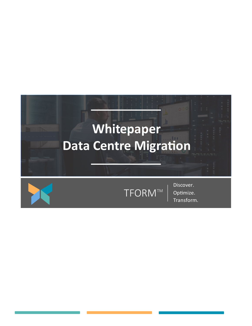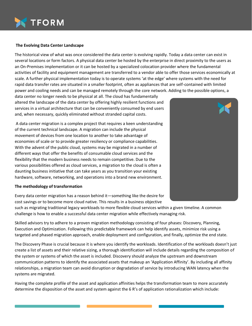

## **The Evolving Data Center Landscape**

The historical view of what was once considered the data center is evolving rapidly. Today a data center can exist in several locations or form factors. A physical data center be hosted by the enterprise in direct proximity to the users as an On-Premises implementation or it can be hosted by a specialized colocation provider where the fundamental activities of facility and equipment management are transferred to a vendor able to offer those services economically at scale. A further physical implementation today is to operate systems 'at the edge' where systems with the need for rapid data transfer rates are situated in a smaller footprint, often as appliances that are self-contained with limited power and cooling needs and can be managed remotely through the core network. Adding to the possible options, a

data center no longer needs to be physical at all. The cloud has fundamentally altered the landscape of the data center by offering highly resilient functions and services in a virtual architecture that can be conveniently consumed by end users and, when necessary, quickly eliminated without stranded capital costs.

A data center migration is a complex project that requires a keen understanding of the current technical landscape. A migration can include the physical movement of devices from one location to another to take advantage of economies of scale or to provide greater resiliency or compliance capabilities. With the advent of the public cloud, systems may be migrated in a number of different ways that offer the benefits of consumable cloud services and the flexibility that the modern business needs to remain competitive. Due to the various possibilities offered as cloud services, a migration to the cloud is often a daunting business initiative that can take years as you transition your existing hardware, software, networking, and operations into a brand new environment.

## **The methodology of transformation**

Every data center migration has a reason behind it—something like the desire for cost savings or to become more cloud native. This results in a business objective

such as migrating traditional legacy workloads to more flexible cloud services within a given timeline. A common challenge is how to enable a successful data center migration while effectively managing risk.

Skilled advisors try to adhere to a proven migration methodology consisting of four phases: Discovery, Planning, Execution and Optimization. Following this predictable framework can help identify assets, minimize risk using a targeted and phased migration approach, enable deployment and configuration, and finally, optimize the end state.

The Discovery Phase is crucial because it is where you identify the workloads. Identification of the workloads doesn't just create a list of assets and their relative sizing, a thorough identification will include details regarding the composition of the system or systems of which the asset is included. Discovery should analyze the upstream and downstream communication patterns to identify the associated assets that makeup an 'Application Affinity'. By including all affinity relationships, a migration team can avoid disruption or degradation of service by introducing WAN latency when the systems are migrated.

Having the complete profile of the asset and application affinities helps the transformation team to more accurately determine the disposition of the asset and system against the 6 R's of application rationalization which include: